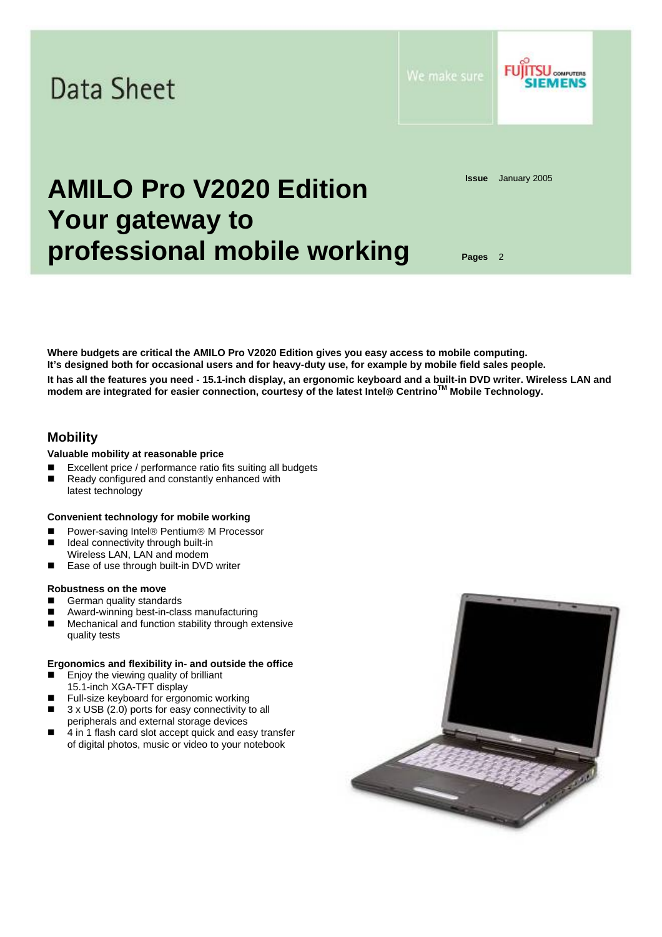

**Where budgets are critical the AMILO Pro V2020 Edition gives you easy access to mobile computing. It's designed both for occasional users and for heavy-duty use, for example by mobile field sales people. It has all the features you need - 15.1-inch display, an ergonomic keyboard and a built-in DVD writer. Wireless LAN and modem are integrated for easier connection, courtesy of the latest Intel**® **CentrinoTM Mobile Technology.** 

# **Mobility**

## **Valuable mobility at reasonable price**

- Excellent price / performance ratio fits suiting all budgets
- Ready configured and constantly enhanced with latest technology

## **Convenient technology for mobile working**

- Power-saving Intel® Pentium® M Processor
- Ideal connectivity through built-in Wireless LAN, LAN and modem
- Ease of use through built-in DVD writer

# **Robustness on the move**

- German quality standards
- Award-winning best-in-class manufacturing
- Mechanical and function stability through extensive quality tests

## **Ergonomics and flexibility in- and outside the office**

- Enjoy the viewing quality of brilliant 15.1-inch XGA-TFT display
- **Full-size keyboard for ergonomic working**
- 3 x USB (2.0) ports for easy connectivity to all peripherals and external storage devices
- 4 in 1 flash card slot accept quick and easy transfer of digital photos, music or video to your notebook